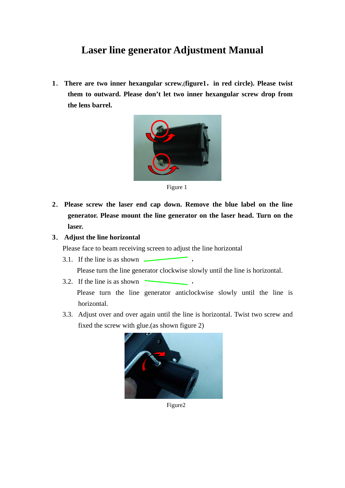## **Laser line generator Adjustment Manual**

**1**. **There are two inner hexangular screw,(figure1**,**in red circle). Please twist them to outward. Please don't let two inner hexangular screw drop from the lens barrel.** 



Figure 1

- **2**. **Please screw the laser end cap down. Remove the blue label on the line generator. Please mount the line generator on the laser head. Turn on the laser.**
- **3**. **Adjust the line horizontal**

Please face to beam receiving screen to adjust the line horizontal

3.1. If the line is as shown  $\sim$ 

Please turn the line generator clockwise slowly until the line is horizontal.

- 3.2. If the line is as shown Please turn the line generator anticlockwise slowly until the line is horizontal.
- 3.3. Adjust over and over again until the line is horizontal. Twist two screw and fixed the screw with glue.(as shown figure 2)



Figure2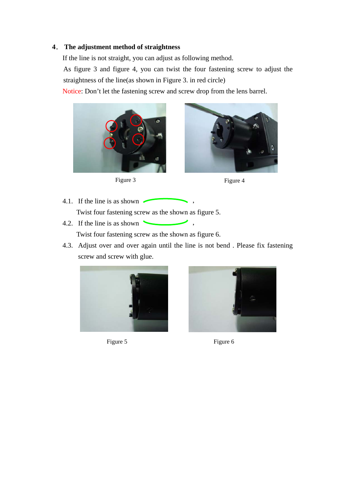## **4**. **The adjustment method of straightness**

If the line is not straight, you can adjust as following method.

As figure 3 and figure 4, you can twist the four fastening screw to adjust the straightness of the line(as shown in Figure 3. in red circle)

Notice: Don't let the fastening screw and screw drop from the lens barrel.







- 4.1. If the line is as shown Twist four fastening screw as the shown as figure 5.
- 4.2. If the line is as shown

Twist four fastening screw as the shown as figure 6.

4.3. Adjust over and over again until the line is not bend . Please fix fastening screw and screw with glue.



Figure 5 Figure 6